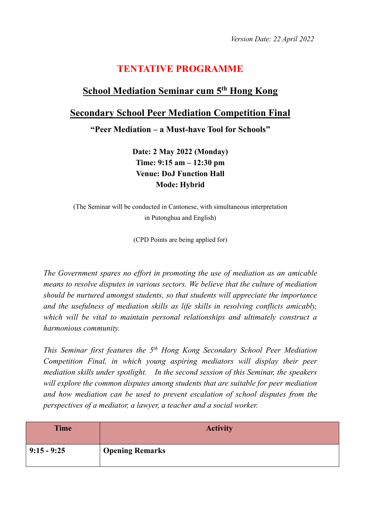## **TENTATIVE PROGRAMME**

## **School Mediation Seminar cum 5 th Hong Kong**

## **Secondary School Peer Mediation Competition Final**

**"Peer Mediation – a Must-have Tool for Schools"**

**Date: 2 May 2022 (Monday) Time: 9:15 am – 12:30 pm Venue: DoJ Function Hall Mode: Hybrid**

(The Seminar will be conducted in Cantonese, with simultaneous interpretation in Putonghua and English)

(CPD Points are being applied for)

*The Government spares no effort in promoting the use of mediation as an amicable means to resolve disputes in various sectors. We believe that the culture of mediation should be nurtured amongst students, so that students will appreciate the importance and the usefulness of mediation skills as life skills in resolving conflicts amicably, which will be vital to maintain personal relationships and ultimately construct a harmonious community.*

*This Seminar first features the 5th Hong Kong Secondary School Peer Mediation Competition Final, in which young aspiring mediators will display their peer mediation skills under spotlight. In the second session of this Seminar, the speakers will explore the common disputes among students that are suitable for peer mediation and how mediation can be used to prevent escalation of school disputes from the perspectives of a mediator, a lawyer, a teacher and a social worker.* 

| <b>Time</b>   | <b>Activity</b>        |
|---------------|------------------------|
| $9:15 - 9:25$ | <b>Opening Remarks</b> |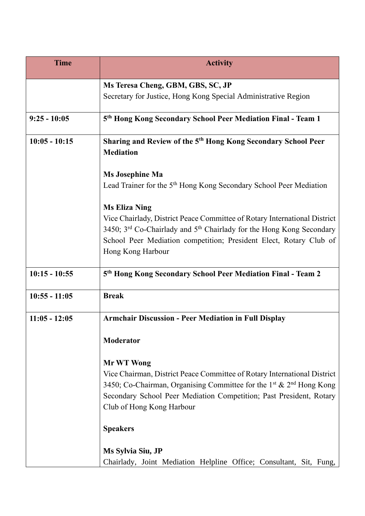| <b>Time</b>     | <b>Activity</b>                                                                                                                                                           |
|-----------------|---------------------------------------------------------------------------------------------------------------------------------------------------------------------------|
|                 | Ms Teresa Cheng, GBM, GBS, SC, JP                                                                                                                                         |
|                 | Secretary for Justice, Hong Kong Special Administrative Region                                                                                                            |
| $9:25 - 10:05$  | 5th Hong Kong Secondary School Peer Mediation Final - Team 1                                                                                                              |
| $10:05 - 10:15$ | Sharing and Review of the 5 <sup>th</sup> Hong Kong Secondary School Peer<br><b>Mediation</b>                                                                             |
|                 | <b>Ms Josephine Ma</b>                                                                                                                                                    |
|                 | Lead Trainer for the 5 <sup>th</sup> Hong Kong Secondary School Peer Mediation                                                                                            |
|                 | <b>Ms Eliza Ning</b>                                                                                                                                                      |
|                 | Vice Chairlady, District Peace Committee of Rotary International District<br>3450; 3 <sup>rd</sup> Co-Chairlady and 5 <sup>th</sup> Chairlady for the Hong Kong Secondary |
|                 | School Peer Mediation competition; President Elect, Rotary Club of<br>Hong Kong Harbour                                                                                   |
| $10:15 - 10:55$ | 5th Hong Kong Secondary School Peer Mediation Final - Team 2                                                                                                              |
| $10:55 - 11:05$ | <b>Break</b>                                                                                                                                                              |
| $11:05 - 12:05$ | <b>Armchair Discussion - Peer Mediation in Full Display</b>                                                                                                               |
|                 | Moderator                                                                                                                                                                 |
|                 | Mr WT Wong                                                                                                                                                                |
|                 | Vice Chairman, District Peace Committee of Rotary International District                                                                                                  |
|                 | 3450; Co-Chairman, Organising Committee for the 1 <sup>st</sup> & 2 <sup>nd</sup> Hong Kong                                                                               |
|                 | Secondary School Peer Mediation Competition; Past President, Rotary                                                                                                       |
|                 | Club of Hong Kong Harbour                                                                                                                                                 |
|                 | <b>Speakers</b>                                                                                                                                                           |
|                 | Ms Sylvia Siu, JP                                                                                                                                                         |
|                 | Chairlady, Joint Mediation Helpline Office; Consultant, Sit, Fung,                                                                                                        |